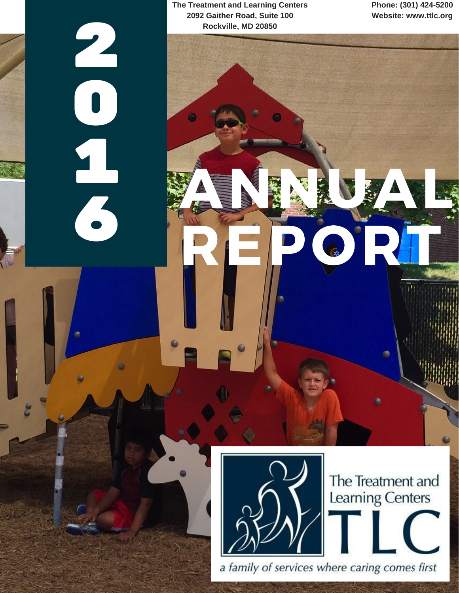**The Treatment and Learning Centers 2092 Gaither Road, Suite 100 Rockville, MD 20850**

2

0

11

**7** 

**Phone: (301) 424-5200 Website: www.ttlc.org**



The Treatment and<br>Learning Centers

感

a family of services where caring comes first

ANNUAL

REPORT OF PUBLIC OF PUBLIC ORDER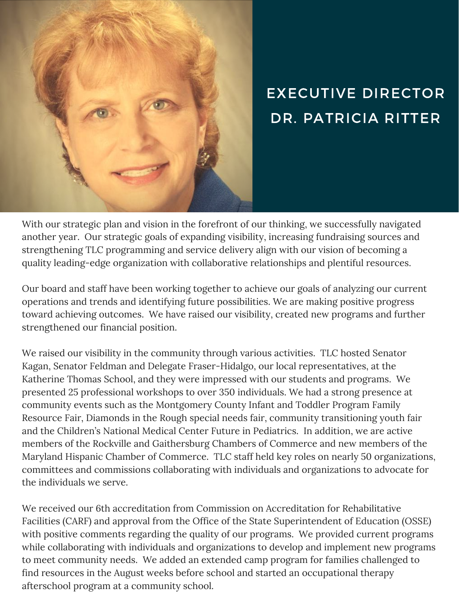

# EXECUTIVE DIRECTOR DR. PATRICIA RITTER

With our strategic plan and vision in the forefront of our thinking, we successfully navigated another year. Our strategic goals of expanding visibility, increasing fundraising sources and strengthening TLC programming and service delivery align with our vision of becoming a quality leading-edge organization with collaborative relationships and plentiful resources.

Our board and staff have been working together to achieve our goals of analyzing our current operations and trends and identifying future possibilities. We are making positive progress toward achieving outcomes. We have raised our visibility, created new programs and further strengthened our financial position.

We raised our visibility in the community through various activities. TLC hosted Senator Kagan, Senator Feldman and Delegate Fraser-Hidalgo, our local representatives, at the Katherine Thomas School, and they were impressed with our students and programs. We presented 25 professional workshops to over 350 individuals. We had a strong presence at community events such as the Montgomery County Infant and Toddler Program Family Resource Fair, Diamonds in the Rough special needs fair, community transitioning youth fair and the Children's National Medical Center Future in Pediatrics. In addition, we are active members of the Rockville and Gaithersburg Chambers of Commerce and new members of the Maryland Hispanic Chamber of Commerce. TLC staff held key roles on nearly 50 organizations, committees and commissions collaborating with individuals and organizations to advocate for the individuals we serve.

We received our 6th accreditation from Commission on Accreditation for Rehabilitative Facilities (CARF) and approval from the Office of the State Superintendent of Education (OSSE) with positive comments regarding the quality of our programs. We provided current programs while collaborating with individuals and organizations to develop and implement new programs to meet community needs. We added an extended camp program for families challenged to find resources in the August weeks before school and started an occupational therapy afterschool program at a community school.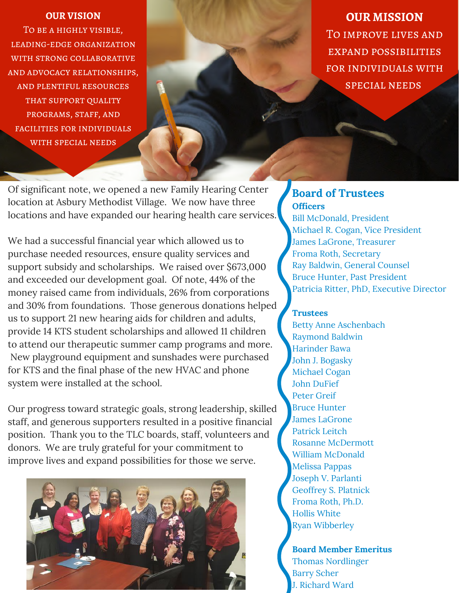#### **OUR VISION**

To be a highly visible, leading-edge organization with strong collaborative and advocacy relationships, and plentiful resources that support quality programs, staff, and facilities for individuals with special needs

**OUR MISSION** To improve lives and expand possibilities for individuals with special needs

Of significant note, we opened a new Family Hearing Center location at Asbury Methodist Village. We now have three locations and have expanded our hearing health care services.

We had a successful financial year which allowed us to purchase needed resources, ensure quality services and support subsidy and scholarships. We raised over \$673,000 and exceeded our development goal. Of note, 44% of the money raised came from individuals, 26% from corporations and 30% from foundations. Those generous donations helped us to support 21 new hearing aids for children and adults, provide 14 KTS student scholarships and allowed 11 children to attend our therapeutic summer camp programs and more. New playground equipment and sunshades were purchased for KTS and the final phase of the new HVAC and phone system were installed at the school.

Our progress toward strategic goals, strong leadership, skilled staff, and generous supporters resulted in a positive financial position. Thank you to the TLC boards, staff, volunteers and donors. We are truly grateful for your commitment to improve lives and expand possibilities for those we serve.



### **Officers Board of Trustees**

Bill McDonald, President Michael R. Cogan, Vice President James LaGrone, Treasurer Froma Roth, Secretary Ray Baldwin, General Counsel Bruce Hunter, Past President Patricia Ritter, PhD, Executive Director

#### **Trustees**

Betty Anne Aschenbach Raymond Baldwin Harinder Bawa John J. Bogasky Michael Cogan John DuFief Peter Greif Bruce Hunter James LaGrone Patrick Leitch Rosanne McDermott William McDonald Melissa Pappas Joseph V. Parlanti Geoffrey S. Platnick Froma Roth, Ph.D. Hollis White Ryan Wibberley

**Board Member Emeritus** Thomas Nordlinger Barry Scher J. Richard Ward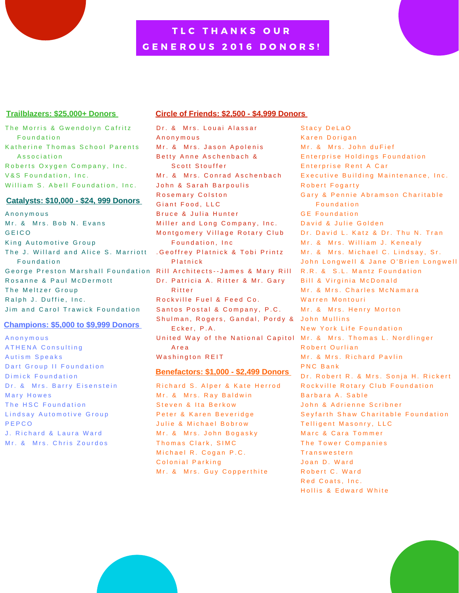## TLC THANKS OUR G E N E R O U S 2016 D O N O R S !

#### **Trailblazers: \$25,000+ Donors**

The Morris & Gwendolyn Cafritz Foundation Katherine Thomas School Parents Association Roberts Oxygen Company, Inc. V&S Foundation, Inc. William S. Abell Foundation, Inc.

#### **Catalysts: \$10,000 - \$24, 999 Donors**

A n o n y m o u s Mr. & Mrs. Bob N. Evans **GEICO** King Automotive Group The J. Willard and Alice S. Marriott F o u n d a t i o n George Preston Marshall Foundation Rill Architects--James & Mary Rill Rosanne & Paul McDermott The Meltzer Group Ralph J. Duffie, Inc. Jim and Carol Trawick Foundation

#### **Champions: \$5,000 to \$9,999 Donors**

A n o n y m o u s A THENA Consulting Autism Speaks Dart Group II Foundation Dimick Foundation Dr. & Mrs. Barry Eisenstein Mary Howes The HSC Foundation Lindsay Automotive Group P E P C O J. Richard & Laura Ward Mr. & Mrs. Chris Zourdos

#### **Circle of Friends: \$2,500 - \$4,999 Donors**

Dr. & Mrs. Louai Alassar A n o n y m o u s Mr. & Mrs. Jason Apolenis Betty Anne Aschenbach & Scott Stouffer Mr. & Mrs. Conrad Aschenbach John & Sarah Barpoulis Rosemary Colston Giant Food, LLC Bruce & Julia Hunter Miller and Long Company, Inc. Montgomery Village Rotary Club Foundation, Inc. . Geoffrey Platnick & Tobi Printz **Platnick** Dr. Patricia A. Ritter & Mr. Gary **Ritter** Rockville Fuel & Feed Co. Santos Postal & Company, P.C. Shulman, Rogers, Gandal, Pordy & John Mullins Ecker, P.A. United Way of the National Capitol Mr. & Mrs. Thomas L. Nordlinger A r e a Washington REIT

#### **Benefactors: \$1,000 - \$2,499 Donors**

Richard S. Alper & Kate Herrod Mr. & Mrs. Ray Baldwin Steven & Ita Berkow Peter & Karen Beveridge Julie & Michael Bobrow Mr. & Mrs. John Bogasky Thomas Clark, SIMC Michael R. Cogan P.C. Colonial Parking Mr. & Mrs. Guy Copperthite

Stacy DeLaO Karen Dorigan Mr. & Mrs. John duFief Enterprise Holdings Foundation Enterprise Rent A Car Executive Building Maintenance, Inc. Robert Fogarty Gary & Pennie Abramson Charitable **Foundation GE Foundation** David & Julie Golden Dr. David L. Katz & Dr. Thu N. Tran Mr. & Mrs. William J. Kenealy Mr. & Mrs. Michael C. Lindsay, Sr. John Longwell & Jane O'Brien Longwell R.R. & S.L. Mantz Foundation Bill & Virginia McDonald Mr. & Mrs. Charles McNamara Warren Montouri Mr. & Mrs. Henry Morton New York Life Foundation Robert Ourlian Mr. & Mrs. Richard Pavlin PNC Bank Dr. Robert R. & Mrs. Sonja H. Rickert Rockville Rotary Club Foundation Barbara A. Sable John & Adrienne Scribner Seyfarth Shaw Charitable Foundation Telligent Masonry, LLC Marc & Cara Tommer The Tower Companies **Transwestern** Joan D. Ward Robert C. Ward Red Coats, Inc. Hollis & Edward White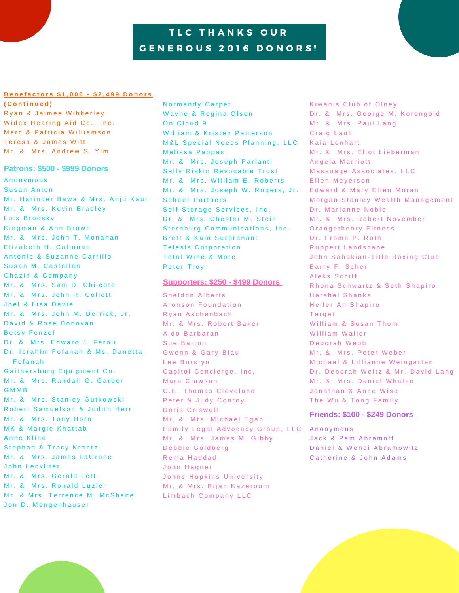## TLC THANKS OUR GENEROUS 2016 DONORS!

#### Benefactors \$1,000 - \$2,499 Donors

**( C o n t i n u e d )**

Ryan & Jaimee Wibberley Widex Hearing Aid Co., Inc. Marc & Patricia Williamson Teresa & James Witt Mr. & Mrs. Andrew S. Yim

#### **Patrons: \$500 - \$999 Donors**

A n o n y m o u s Susan Anton Mr. Harinder Bawa & Mrs. Anju Kaur Mr. & Mrs. Kevin Bradley Lois Brodsky Kingman & Ann Brown Mr. & Mrs. John T. Monahan Elizabeth H. Callanan Antonio & Suzanne Carrillo Susan M. Castellan Chazin & Company Mr. & Mrs. Sam D. Chilcote Mr. & Mrs. John R. Collett Joel & Lisa Davie Mr. & Mrs. John M. Derrick, Jr. David & Rose Donovan Betsy Fenzel Dr. & Mrs. Edward J. Feroli Dr. Ibrahim Fofanah & Ms. Danetta **Fofanah** Gaithersburg Equipment Co. Mr. & Mrs. Randall G. Garber G M M B Mr. & Mrs. Stanley Gutkowski Robert Samuelson & Judith Herr Mr. & Mrs. Tony Horn MK & Margie Khattab Anne Kline Stephan & Tracy Krantz Mr. & Mrs. James LaGrone John Leckliter Mr. & Mrs. Gerald Lett Mr. & Mrs. Ronald Luzier Mr. & Mrs. Terrence M. McShane Jon D. Mengenhauser

Normandy Carpet Wayne & Regina Olson On Cloud 9 William & Kristen Patterson M&L Special Needs Planning, LLC Melissa Pappas Mr. & Mrs. Joseph Parlanti Sally Riskin Revocable Trust Mr. & Mrs. William E. Roberts Mr. & Mrs. Joseph W. Rogers, Jr. Scheer Partners Self Storage Services, Inc. Dr. & Mrs. Chester M. Stein Sternburg Communications, Inc. Brett & Kala Surprenant Telesis Corporation Total Wine & More Peter Troy

#### **Supporters: \$250 - \$499 Donors**

Sheldon Alberts Aronson Foundation R y an Aschenbach Mr. & Mrs. Robert Baker Aldo Barbaran Sue Barton Gwenn & Gary Blau Lee Burstyn Capitol Concierge, Inc. Mara Clawson C.E. Thomas Cleveland Peter & Judy Conroy Doris Criswell Mr. & Mrs. Michael Egan Family Legal Advocacy Group, LLC Anonymous Mr. & Mrs. James M. Gibby Debbie Goldberg Rema Haddad John Hagner Johns Hopkins University Mr. & Mrs. Bijan Kazerouni Limbach Company LLC

Kiwanis Club of Olney Dr. & Mrs. George M. Korengold Mr. & Mrs. Paul Lang Craig Laub Kaia Lenhart Mr. & Mrs. Eliot Lieberman Angela Marriott Massuage Associates, LLC Ellen Meyerson Edward & Mary Ellen Moran Morgan Stanley Wealth Management Dr. Marianne Noble Mr. & Mrs. Robert November Orangetheory Fitness Dr. Froma P. Roth Ruppert Landscape John Sahakian-Title Boxing Club Barry F. Scher Aleks Schiff Rhona Schwartz & Seth Shapiro Hershel Shanks Heller An Shapiro **Target** William & Susan Thom William Waller Deborah Webb Mr. & Mrs. Peter Weber Michael & Lillianne Weingarten Dr. Deborah Weltz & Mr. David Lang Mr. & Mrs. Daniel Whalen Jonathan & Anne Wise The Wu & Tong Family

#### **Friends: \$100 - \$249 Donors**

Jack & Pam Abramoff Daniel & Wendi Abramowitz Catherine & John Adams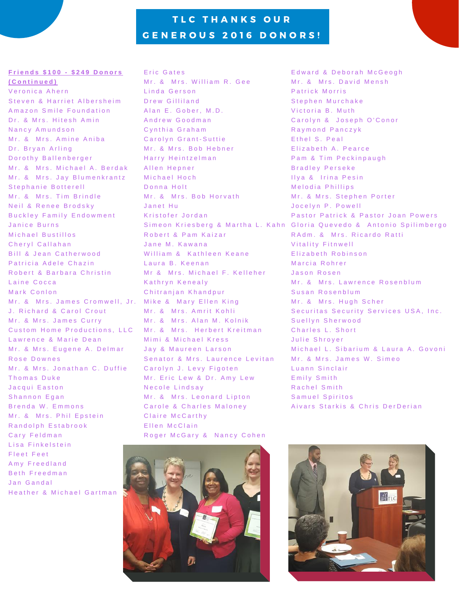## TLC THANKS OUR G E N E R O U S 2016 D O N O R S !

#### **F r i e n d s \$ 1 0 0 - \$ 2 4 9 D o n o r s ( C o n t i n u e d )**

Veronica Ahern Steven & Harriet Albersheim A mazon Smile Foundation Dr. & Mrs. Hitesh Amin Nancy Amundson Mr. & Mrs. Amine Aniba Dr. Bryan Arling D or o thy Ballenberger Mr. & Mrs. Michael A. Berdak Mr. & Mrs. Jay Blumenkrantz Stephanie Botterell Mr. & Mrs. Tim Brindle Neil & Renee Brodsky Buckley Family Endowment Janice Burns Michael Bustillos Cheryl Callahan Bill & Jean Catherwood Patricia Adele Chazin Robert & Barbara Christin Laine Cocca Mark Conlon Mr. & Mrs. James Cromwell, Jr. Mike & Mary Ellen King J. Richard & Carol Crout Mr. & Mrs. James Curry Custom Home Productions, LLC Mr. & Mrs. Herbert Kreitman Lawrence & Marie Dean Mr. & Mrs. Eugene A. Delmar Rose Downes Mr. & Mrs. Jonathan C. Duffie Thomas Duke Jacqui Easton Shannon Egan Brenda W. Emmons Mr. & Mrs. Phil Epstein Randolph Estabrook Carv Feldman Lisa Finkelstein Fleet Feet Amy Freedland Beth Freedman Jan Gandal Heather & Michael Gartman

Eric Gates Mr. & Mrs. William R. Gee Linda Gerson Drew Gilliland Alan E. Gober, M.D. Andrew Goodman Cynthia Graham Carolyn Grant-Suttie Mr. & Mrs. Bob Hebner Harry Heintzelman Allen Hepner Michael Hoch Donna Holt Mr. & Mrs. Bob Horvath Janet Hu Kristofer Jordan Robert & Pam Kaizar Jane M. Kawana William & Kathleen Keane Laura B. Keenan Mr & Mrs. Michael F. Kelleher Kathryn Kenealy Chitranjan Khandpur Mr. & Mrs. Amrit Kohli Mr. & Mrs. Alan M. Kolnik Mimi & Michael Kress Jay & Maureen Larson Senator & Mrs. Laurence Levitan Carolyn J. Levy Figoten Mr. Eric Lew & Dr. Amy Lew Necole Lindsay Mr. & Mrs. Leonard Lipton Carole & Charles Maloney Claire McCarthy Ellen McClain Roger McGary & Nancy Cohen



Edward & Deborah McGeogh Mr. & Mrs. David Mensh Patrick Morris Stephen Murchake Victoria B. Muth Carolyn & Joseph O'Conor Raymond Panczyk Ethel S. Peal Elizabeth A. Pearce Pam & Tim Peckinpaugh Bradley Perseke Ilya & Irina Pesin Melodia Phillips Mr. & Mrs. Stephen Porter Jocelyn P. Powell Pastor Patrick & Pastor Joan Powers Simeon Kriesberg & Martha L. Kahn Gloria Quevedo & Antonio Spilimbergo R A d m . & M rs . Ricardo Ratti Vitality Fitnwell Elizabeth Robinson Marcia Rohrer Jason Rosen Mr. & Mrs. Lawrence Rosenblum Susan Rosenblum Mr. & Mrs. Hugh Scher Securitas Security Services USA, Inc. Suellyn Sherwood Charles L. Short Julie Shrover Michael L. Sibarium & Laura A. Govoni Mr. & Mrs. James W. Simeo Luann Sinclair Emily Smith Rachel Smith Samuel Spiritos Aivars Starkis & Chris DerDerian

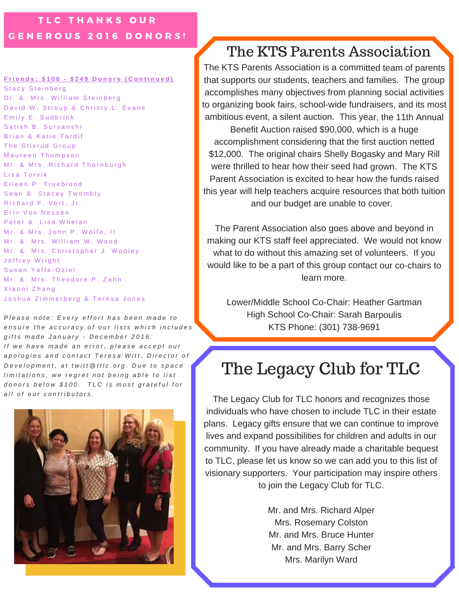### TLC THANKS OUR G E N E R O U S 2016 D O N O R S !

#### Friends: \$100 - \$249 Donors (Continued)

Stacy Steinberg Dr. & Mrs. William Steinberg David W. Stroup & Christy L. Evans Emily E. Sudbrink Satish B. Survanshi Brian & Katie Tardif The Stixrud Group Maureen Thompson Mr. & Mrs. Richard Thornburgh Lisa Torvik Eileen P. Trueblood Sean & Stacey Twombly Richard F. Vert, Jr. Erin Von Nessen Peter & Lisa Whelan Mr. & Mrs. John P. Wolfe, II Mr. & Mrs. William W. Wood Mr. & Mrs. Christopher J. Wooley Jeffrey Wright Susan Yaffe-Oziel Mr. & Mrs. Theodore P. Zahn Xiaoni Zhang Joshua Zimmerberg & Teresa Jones

Please note: Every effort has been made to ensure the accuracy of our lists which includes gifts made January - December 2016. If we have made an error, please accept our apologies and contact Teresa Witt, Director of Development, at twitt@ttlc.org. Due to space limitations, we regret not being able to list donors below \$100. TLC is most grateful for *a l l o f o u r c o n t r i b u t o r s .*



# The KTS Parents Association

The KTS Parents Association is <sup>a</sup> committed team of parents that supports our students, teachers and families. The group accomplishes many objectives from planning social activities to organizing book fairs, school-wide fundraisers, and its most ambitious event, <sup>a</sup> silent auction. This year, the 11th Annual Benefit Auction raised \$90,000, which is <sup>a</sup> huge accomplishment considering that the first auction netted \$12,000. The original chairs Shelly Bogasky and Mary Rill were thrilled to hear how their seed had grown. The KTS Parent Association is excited to hear how the funds raised this year will help teachers acquire resources that both tuition and our budget are unable to cover.

The Parent Association also goes above and beyond in making our KTS staff feel appreciated. We would not know what to do without this amazing set of volunteers. If you would like to be <sup>a</sup> part of this group contact our co-chairs to learn more.

Lower/Middle School Co-Chair: Heather Gartman High School Co-Chair: Sarah Barpoulis KTS Phone: (301) 738-9691

# The Legacy Club for TLC

The Legacy Club for TLC honors and recognizes those individuals who have chosen to include TLC in their estate plans. Legacy gifts ensure that we can continue to improve lives and expand possibilities for children and adults in our community. If you have already made a charitable bequest to TLC, please let us know so we can add you to this list of visionary supporters. Your participation may inspire others to join the Legacy Club for TLC.

> Mr. and Mrs. Richard Alper Mrs. Rosemary Colston Mr. and Mrs. Bruce Hunter Mr. and Mrs. Barry Scher Mrs. Marilyn Ward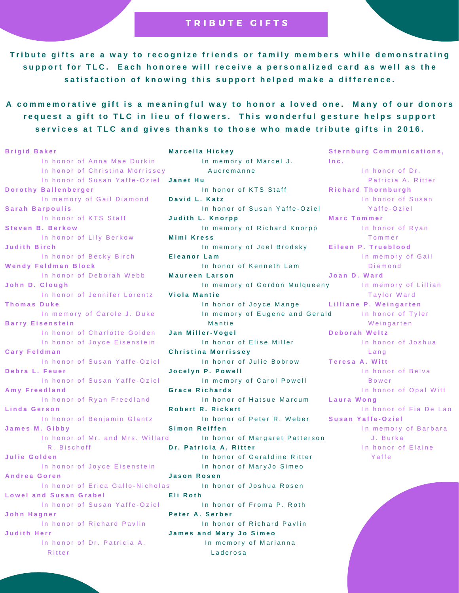#### TRIBUTE GIFTS

Tribute gifts are a way to recognize friends or family members while demonstrating support for TLC. Each honoree will receive a personalized card as well as the satisfaction of knowing this support helped make a difference.

A commemorative gift is a meaningful way to honor a loved one. Many of our donors request a gift to TLC in lieu of flowers. This wonderful gesture helps support services at TLC and gives thanks to those who made tribute gifts in 2016.

**B r i g i d B a k e r** In honor of Anna Mae Durkin In honor of Christina Morrissev In honor of Susan Yaffe-Oziel Janet Hu **D o r o t h y B a l l e n b e r g e r** In memory of Gail Diamond **S a r a h B a r p o u l i s** In honor of KTS Staff **S t e v e n B . B e r k o w** In honor of Lily Berkow **J u d i t h B i r c h** In honor of Becky Birch **W e n d y F e l d m a n B l o c k** In honor of Deborah Webb **J o h n D . C l o u g h** In honor of Jennifer Lorentz **T h o m a s D u k e** In memory of Carole J. Duke **Barry Eisenstein** In honor of Charlotte Golden In honor of Joyce Eisenstein **C a r y F e l d m a n** In honor of Susan Yaffe-Oziel **D e b r a L . F e u e r** In honor of Susan Yaffe-Oziel **A m y F r e e d l a n d** In honor of Ryan Freedland **L i n d a G e r s o n** In honor of Benjamin Glantz **J a m e s M . G i b b y** In honor of Mr. and Mrs. Willard R. Bischoff **J u l i e G o l d e n** In honor of Joyce Eisenstein **A n d r e a G o r e n** In honor of Erica Gallo-Nicholas **L o w e l a n d S u s a n G r a b e l** In honor of Susan Yaffe-Oziel **J o h n H a g n e r** In honor of Richard Pavlin **J u d i t h H e r r** In honor of Dr. Patricia A. **Ritter M a r c e l l a H i c k e y** In memory of Marcel J. A u c r e m a n n e In honor of KTS Staff **D a v i d L . K a t z** In honor of Susan Yaffe-Oziel **J u d i t h L . K n o r p p** In memory of Richard Knorpp **Mimi Kress** In memory of Joel Brodsky **E l e a n o r L a m** In honor of Kenneth Lam **M a u r e e n L a r s o n** In memory of Gordon Mulqueeny **V i o l a M a n t i e** In honor of Joyce Mange In memory of Eugene and Gerald **Mantie J a n M i l l e r - V o g e l** In honor of Elise Miller **C h r i s t i n a M o r r i s s e y** In honor of Julie Bobrow **J o c e l y n P . P o w e l l** In memory of Carol Powell **G r a c e R i c h a r d s** In honor of Hatsue Marcum **R o b e r t R . R i c k e r t** In honor of Peter R. Weber **S i m o n R e i f f e n** In honor of Margaret Patterson **D r . P a t r i c i a A . R i t t e r** In honor of Geraldine Ritter In honor of MaryJo Simeo **J a s o n R o s e n** In honor of Joshua Rosen **E l i R o t h** In honor of Froma P. Roth **Peter A. Serber** In honor of Richard Pavlin **J a m e s a n d M a r y J o S i m e o** In memory of Marianna **Laderosa S t e r n b u r g C o m m u n i c a t i o n s , I n c .** In honor of Dr. Patricia A. Ritter **R i c h a r d T h o r n b u r g h** In honor of Susan Y affe-Oziel **M a r c T o m m e r** In honor of Ryan T o m m e r **E i l e e n P . T r u e b l o o d** In memory of Gail D i a m o n d **J o a n D . W a r d** In memory of Lillian Taylor Ward **L i l l i a n e P . W e i n g a r t e n** In honor of Tyler Weingarten **D e b o r a h W e l t z** In honor of Joshua L a n g **T e r e s a A . W i t t** In honor of Belva **B** o w e r In honor of Opal Witt **L a u r a W o n g** In honor of Fia De Lao **S u s a n Y a f f e - O z i e l** In memory of Barbara J. Burka In honor of Elaine **Y** affe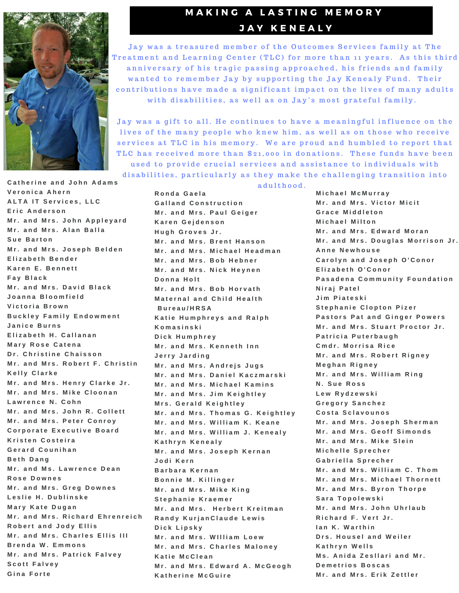

## **MAKING A LASTING MEMORY** JAY KENEALY

Jay was a treasured member of the Outcomes Services family at The Treatment and Learning Center (TLC) for more than 11 years. As this third anniversary of his tragic passing approached, his friends and family wanted to remember Jay by supporting the Jay Kenealy Fund. Their contributions have made a significant impact on the lives of many adults with disabilities, as well as on Jay's most grateful family.

Jay was a gift to all. He continues to have a meaningful influence on the lives of the many people who knew him, as well as on those who receive services at TLC in his memory. We are proud and humbled to report that TLC has received more than \$21,000 in donations. These funds have been used to provide crucial services and assistance to individuals with

disabilities, particularly as they make the challenging transition into

**C a t h e r i n e a n d J o h n A d a m s V e r o n i c a A h e r n A L T A I T S e r v i c e s , L L C E r i c A n d e r s o n M r . a n d M r s . J o h n A p p l e y a r d**  $Mr$ . and Mrs. Alan Balla **S u e B a r t o n**  $Mr$ , and Mrs, Joseph Belden **E l i z a b e t h B e n d e r K a r e n E . B e n n e t t F a y B l a c k**  $Mr$ , and Mrs, David Black **J o a n n a B l o o m f i e l d V i c t o r i a B r o w n B u c k l e y F a m i l y E n d o w m e n t J a n i c e B u r n s**  $E$  **lizabeth H**. Callanan **Mary Rose Catena**  $Dr.$  Christine Chaisson Mr. and Mrs. Robert F. Christin **K e l l y C l a r k e**  $Mr$ . and Mrs. Henry Clarke Jr.  $Mr$ . and Mrs. Mike Cloonan **L a w r e n c e N . C o h n**  $Mr$ . and Mrs. John R. Collett  $Mr.$  and Mrs. Peter Conroy **C o r p o r a t e E x e c u t i v e B o a r d K r i s t e n C o s t e i r a G e r a r d C o u n i h a n B e t h D a n g M r . a n d M s . L a w r e n c e D e a n R o s e D o w n e s**  $Mr.$  **and Mrs. Greg Downes L e s l i e H . D u b l i n s k e M a r y K a t e D u g a n** Mr. and Mrs. Richard Ehrenreich **R o b e r t a n d J o d y E l l i s**  $Mr$ . and Mrs. Charles Ellis III **B r e n d a W . E m m o n s**  $Mr$ . and Mrs. Patrick Falvey **S c o t t F a l v e y**  $G$  ina Forte

adulthood. **R o n d a G a e l a**  $G$  **alland Construction M r . a n d M r s . P a u l G e i g e r K a r e n G e j d e n s o n H u g h G r o v e s J r .**  $Mr$ , and Mrs, Brent Hanson **M r . a n d M r s . M i c h a e l H e a d m a n M r . a n d M r s . B o b H e b n e r**  $Mr$ . and Mrs. Nick Heynen **D o n n a H o l t**  $Mr$ , and Mrs, Bob Horvath **M a t e r n a l a n d C h i l d H e a l t h B u r e a u / H R S A K a t i e H u m p h r e y s a n d R a l p h K o m a s i n s k i D i c k H u m p h r e y**  $Mr$ . and Mrs. Kenneth Inn **J e r r y J a r d i n g**  $Mr$ . and Mrs. Andrejs Jugs Mr. and Mrs. Daniel Kaczmarski  $Mr$ , and Mrs, Michael Kamins **M r . a n d M r s . J i m K e i g h t l e y M r s . G e r a l d K e i g h t l e y** Mr. and Mrs. Thomas G. Keightley  $Mr$ . and Mrs. William K. Keane Mr. and Mrs. William J. Kenealy **K a t h r y n K e n e a l y M r . a n d M r s . J o s e p h K e r n a n J o d i K e r n B a r b a r a K e r n a n B o n n i e M . K i l l i n g e r M r . a n d M r s . M i k e K i n g S t e p h a n i e K r a e m e r**  $M$ r. and Mrs. Herbert Kreitman **R a n d y K u r j a n C l a u d e L e w i s D i c k L i p s k y M r . a n d M r s . W I l l i a m L o e w M r . a n d M r s . C h a r l e s M a l o n e y K a t i e M c C l e a n M r . a n d M r s . E d w a r d A . M c G e o g h K a t h e r i n e M c G u i r e**

**M i c h a e l M c M u r r a y**

 $Mr$ . and Mrs. Victor Micit **G r a c e M i d d l e t o n M i c h a e l M i l t o n M r . a n d M r s . E d w a r d M o r a n** Mr. and Mrs. Douglas Morrison Jr. **A n n e N e w h o u s e C a r o l y n a n d J o s e p h O ' C o n o r E l i z a b e t h O ' C o n o r** Pasadena Community Foundation **N i r a j P a t e l J i m P i a t e s k i S t e p h a n i e C l o p t o n P i z e r Pastors Pat and Ginger Powers** Mr. and Mrs. Stuart Proctor Jr. **P a t r i c i a P u t e r b a u g h C m d r . M o r r i s a R i c e Mr.** and Mrs. Robert Rigney **M e g h a n R i g n e y M r . a n d M r s . W i l l i a m R i n g N . S u e R o s s L e w R y d z e w s k i G r e g o r y S a n c h e z C o s t a S c l a v o u n o s M r . a n d M r s . J o s e p h S h e r m a n**  $Mr$ . and Mrs. Geoff Simonds  $Mr$ , and Mrs, Mike Slein **M i c h e l l e S p r e c h e r G a b r i e l l a S p r e c h e r**  $Mr$ . and Mrs. William C. Thom  $Mr$ . and Mrs. Michael Thornett **M r . a n d M r s . B y r o n T h o r p e S a r a T o p o l e w s k i**  $Mr$ , and Mrs, John Uhrlaub **R i c h a r d F . V e r t J r . I a n K . W a r t h i n D r s . H o u s e l a n d W e i l e r K a t h r y n W e l l s M s . A n i d a Z e s l l a r i a n d M r . D e m e t r i o s B o s c a s**  $Mr$ , and Mrs, Erik Zettler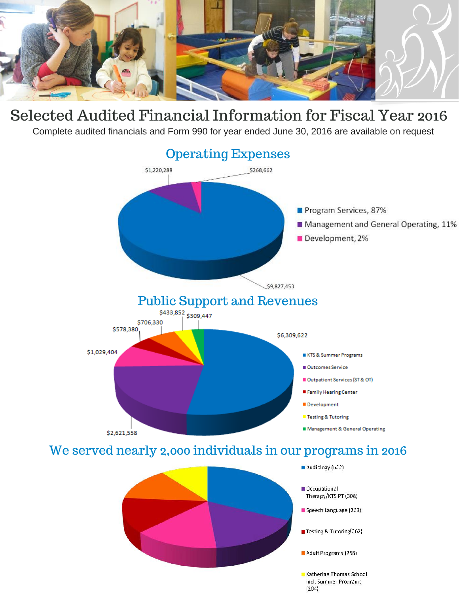

# Selected Audited Financial Information for Fiscal Year 2016

Complete audited financials and Form 990 for year ended June 30, 2016 are available on request





- Occupational Therapy/KTS PT (308)
- Speech Language (269)
- Testing & Tutoring(262)
- Adult Programs (258)
- Katherine Thomas School incl. Summer Programs  $(204)$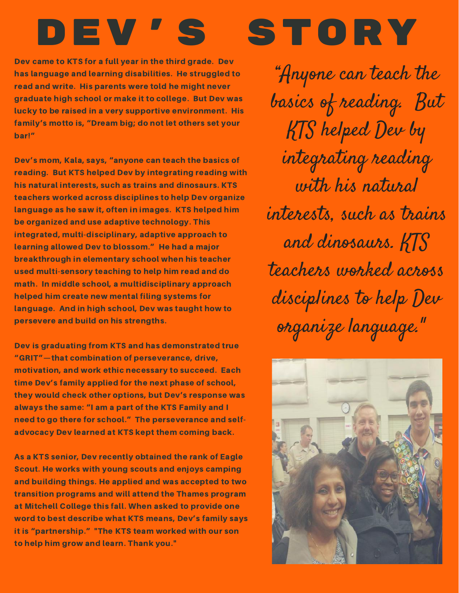# DEV'S STORY

Dev came to KTS for a full year in the third grade. Dev has language and learning disabilities. He struggled to read and write. His parents were told he might never graduate high school or make it to college. But Dev was lucky to be raised in a very supportive environment. His family's motto is, "Dream big; do not let others set your bar!"

Dev's mom, Kala, says, "anyone can teach the basics of reading. But KTS helped Dev by integrating reading with his natural interests, such as trains and dinosaurs. KTS teachers worked across disciplines to help Dev organize language as he saw it, often in images. KTS helped him be organized and use adaptive technology. This integrated, multi-disciplinary, adaptive approach to learning allowed Dev to blossom." He had a major breakthrough in elementary school when his teacher used multi-sensory teaching to help him read and do math. In middle school, a multidisciplinary approach helped him create new mental filing systems for language. And in high school, Dev was taught how to persevere and build on his strengths.

Dev is graduating from KTS and has demonstrated true "GRIT"—that combination of perseverance, drive, motivation, and work ethic necessary to succeed. Each time Dev's family applied for the next phase of school, they would check other options, but Dev's response was always the same: "I am a part of the KTS Family and I need to go there for school." The perseverance and selfadvocacy Dev learned at KTS kept them coming back.

As a KTS senior, Dev recently obtained the rank of Eagle Scout. He works with young scouts and enjoys camping and building things. He applied and was accepted to two transition programs and will attend the Thames program at Mitchell College this fall. When asked to provide one word to best describe what KTS means, Dev's family says it is "partnership." "The KTS team worked with our son to help him grow and learn. Thank you."

"Anyone can teach the basics of reading. But KTS helped Dev by integrating reading with his natural interests, such as trains and dinosaurs. KTS teachers worked across disciplines to help Dev organize language."